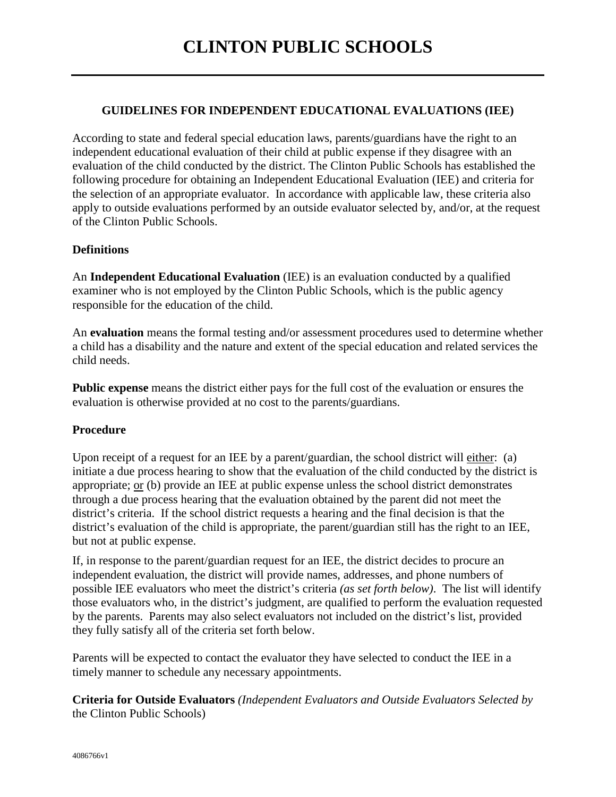## **GUIDELINES FOR INDEPENDENT EDUCATIONAL EVALUATIONS (IEE)**

According to state and federal special education laws, parents/guardians have the right to an independent educational evaluation of their child at public expense if they disagree with an evaluation of the child conducted by the district. The Clinton Public Schools has established the following procedure for obtaining an Independent Educational Evaluation (IEE) and criteria for the selection of an appropriate evaluator. In accordance with applicable law, these criteria also apply to outside evaluations performed by an outside evaluator selected by, and/or, at the request of the Clinton Public Schools.

## **Definitions**

An **Independent Educational Evaluation** (IEE) is an evaluation conducted by a qualified examiner who is not employed by the Clinton Public Schools, which is the public agency responsible for the education of the child.

An **evaluation** means the formal testing and/or assessment procedures used to determine whether a child has a disability and the nature and extent of the special education and related services the child needs.

**Public expense** means the district either pays for the full cost of the evaluation or ensures the evaluation is otherwise provided at no cost to the parents/guardians.

### **Procedure**

Upon receipt of a request for an IEE by a parent/guardian, the school district will either: (a) initiate a due process hearing to show that the evaluation of the child conducted by the district is appropriate; or (b) provide an IEE at public expense unless the school district demonstrates through a due process hearing that the evaluation obtained by the parent did not meet the district's criteria. If the school district requests a hearing and the final decision is that the district's evaluation of the child is appropriate, the parent/guardian still has the right to an IEE, but not at public expense.

If, in response to the parent/guardian request for an IEE, the district decides to procure an independent evaluation, the district will provide names, addresses, and phone numbers of possible IEE evaluators who meet the district's criteria *(as set forth below)*. The list will identify those evaluators who, in the district's judgment, are qualified to perform the evaluation requested by the parents. Parents may also select evaluators not included on the district's list, provided they fully satisfy all of the criteria set forth below.

Parents will be expected to contact the evaluator they have selected to conduct the IEE in a timely manner to schedule any necessary appointments.

**Criteria for Outside Evaluators** *(Independent Evaluators and Outside Evaluators Selected by*  the Clinton Public Schools)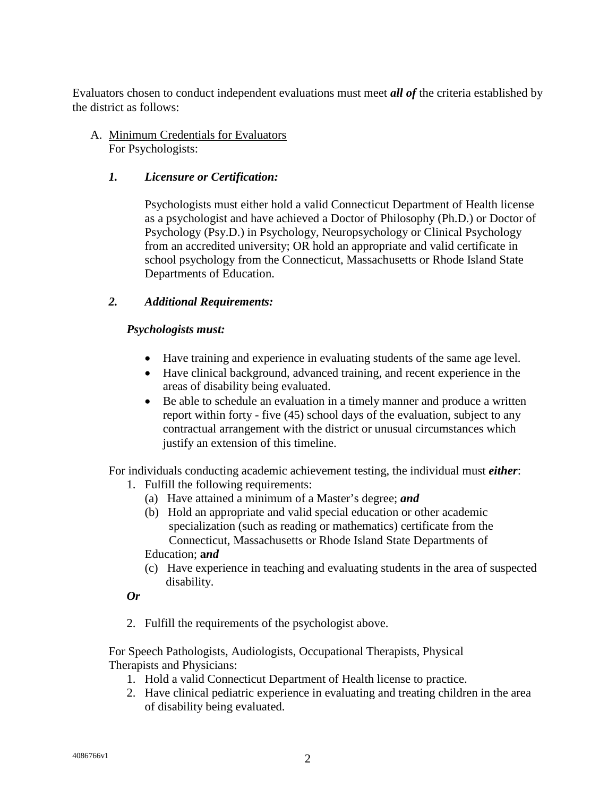Evaluators chosen to conduct independent evaluations must meet *all of* the criteria established by the district as follows:

A. Minimum Credentials for Evaluators For Psychologists:

# *1. Licensure or Certification:*

Psychologists must either hold a valid Connecticut Department of Health license as a psychologist and have achieved a Doctor of Philosophy (Ph.D.) or Doctor of Psychology (Psy.D.) in Psychology, Neuropsychology or Clinical Psychology from an accredited university; OR hold an appropriate and valid certificate in school psychology from the Connecticut, Massachusetts or Rhode Island State Departments of Education.

## *2. Additional Requirements:*

# *Psychologists must:*

- Have training and experience in evaluating students of the same age level.
- Have clinical background, advanced training, and recent experience in the areas of disability being evaluated.
- Be able to schedule an evaluation in a timely manner and produce a written report within forty - five (45) school days of the evaluation, subject to any contractual arrangement with the district or unusual circumstances which justify an extension of this timeline.

For individuals conducting academic achievement testing, the individual must *either*:

- 1. Fulfill the following requirements:
	- (a) Have attained a minimum of a Master's degree; *and*
	- (b) Hold an appropriate and valid special education or other academic specialization (such as reading or mathematics) certificate from the Connecticut, Massachusetts or Rhode Island State Departments of Education; **a***nd*
	- (c) Have experience in teaching and evaluating students in the area of suspected disability.

## *Or*

2. Fulfill the requirements of the psychologist above.

For Speech Pathologists, Audiologists, Occupational Therapists, Physical Therapists and Physicians:

- 1. Hold a valid Connecticut Department of Health license to practice.
- 2. Have clinical pediatric experience in evaluating and treating children in the area of disability being evaluated.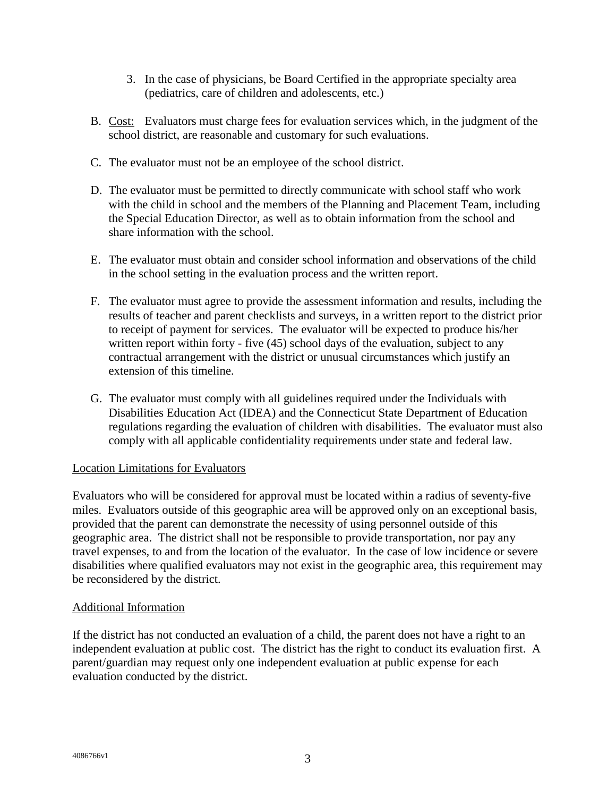- 3. In the case of physicians, be Board Certified in the appropriate specialty area (pediatrics, care of children and adolescents, etc.)
- B. Cost: Evaluators must charge fees for evaluation services which, in the judgment of the school district, are reasonable and customary for such evaluations.
- C. The evaluator must not be an employee of the school district.
- D. The evaluator must be permitted to directly communicate with school staff who work with the child in school and the members of the Planning and Placement Team, including the Special Education Director, as well as to obtain information from the school and share information with the school.
- E. The evaluator must obtain and consider school information and observations of the child in the school setting in the evaluation process and the written report.
- F. The evaluator must agree to provide the assessment information and results, including the results of teacher and parent checklists and surveys, in a written report to the district prior to receipt of payment for services. The evaluator will be expected to produce his/her written report within forty - five (45) school days of the evaluation, subject to any contractual arrangement with the district or unusual circumstances which justify an extension of this timeline.
- G. The evaluator must comply with all guidelines required under the Individuals with Disabilities Education Act (IDEA) and the Connecticut State Department of Education regulations regarding the evaluation of children with disabilities. The evaluator must also comply with all applicable confidentiality requirements under state and federal law.

### Location Limitations for Evaluators

Evaluators who will be considered for approval must be located within a radius of seventy-five miles. Evaluators outside of this geographic area will be approved only on an exceptional basis, provided that the parent can demonstrate the necessity of using personnel outside of this geographic area. The district shall not be responsible to provide transportation, nor pay any travel expenses, to and from the location of the evaluator. In the case of low incidence or severe disabilities where qualified evaluators may not exist in the geographic area, this requirement may be reconsidered by the district.

### Additional Information

If the district has not conducted an evaluation of a child, the parent does not have a right to an independent evaluation at public cost. The district has the right to conduct its evaluation first. A parent/guardian may request only one independent evaluation at public expense for each evaluation conducted by the district.